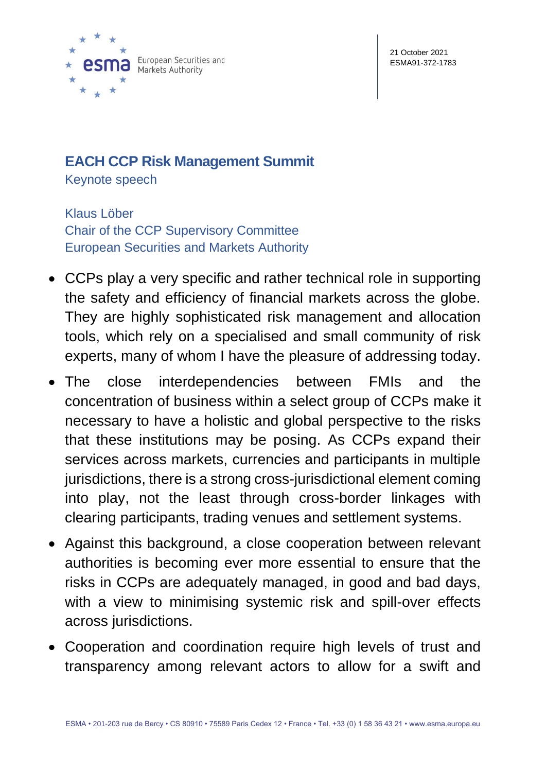

## **EACH CCP Risk Management Summit**

Keynote speech

Klaus Löber Chair of the CCP Supervisory Committee European Securities and Markets Authority

- CCPs play a very specific and rather technical role in supporting the safety and efficiency of financial markets across the globe. They are highly sophisticated risk management and allocation tools, which rely on a specialised and small community of risk experts, many of whom I have the pleasure of addressing today.
- The close interdependencies between FMIs and the concentration of business within a select group of CCPs make it necessary to have a holistic and global perspective to the risks that these institutions may be posing. As CCPs expand their services across markets, currencies and participants in multiple jurisdictions, there is a strong cross-jurisdictional element coming into play, not the least through cross-border linkages with clearing participants, trading venues and settlement systems.
- Against this background, a close cooperation between relevant authorities is becoming ever more essential to ensure that the risks in CCPs are adequately managed, in good and bad days, with a view to minimising systemic risk and spill-over effects across jurisdictions.
- Cooperation and coordination require high levels of trust and transparency among relevant actors to allow for a swift and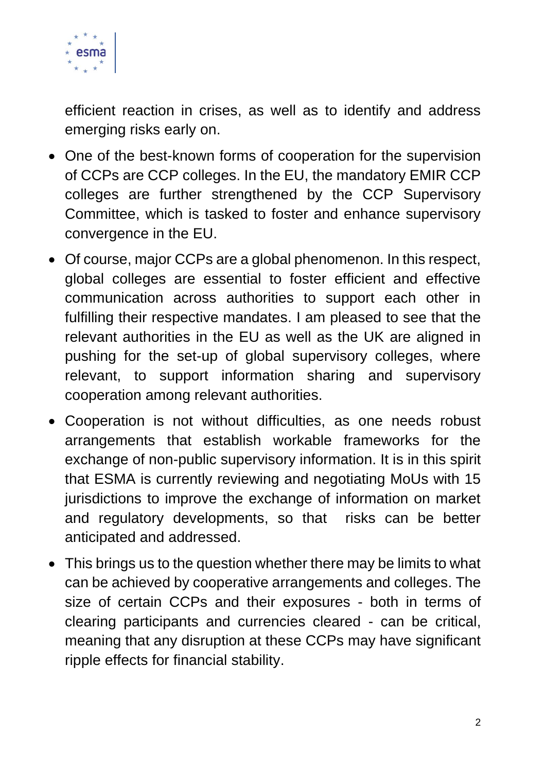

efficient reaction in crises, as well as to identify and address emerging risks early on.

- One of the best-known forms of cooperation for the supervision of CCPs are CCP colleges. In the EU, the mandatory EMIR CCP colleges are further strengthened by the CCP Supervisory Committee, which is tasked to foster and enhance supervisory convergence in the EU.
- Of course, major CCPs are a global phenomenon. In this respect, global colleges are essential to foster efficient and effective communication across authorities to support each other in fulfilling their respective mandates. I am pleased to see that the relevant authorities in the EU as well as the UK are aligned in pushing for the set-up of global supervisory colleges, where relevant, to support information sharing and supervisory cooperation among relevant authorities.
- Cooperation is not without difficulties, as one needs robust arrangements that establish workable frameworks for the exchange of non-public supervisory information. It is in this spirit that ESMA is currently reviewing and negotiating MoUs with 15 jurisdictions to improve the exchange of information on market and regulatory developments, so that risks can be better anticipated and addressed.
- This brings us to the question whether there may be limits to what can be achieved by cooperative arrangements and colleges. The size of certain CCPs and their exposures - both in terms of clearing participants and currencies cleared - can be critical, meaning that any disruption at these CCPs may have significant ripple effects for financial stability.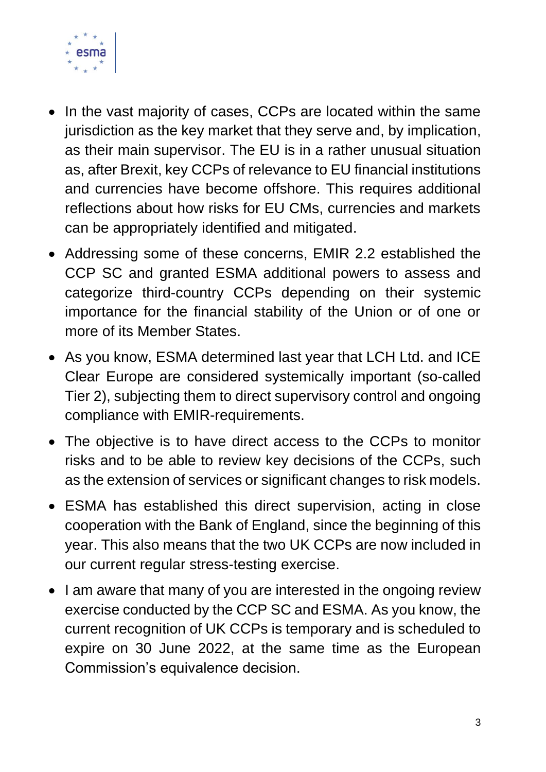

- In the vast majority of cases, CCPs are located within the same jurisdiction as the key market that they serve and, by implication, as their main supervisor. The EU is in a rather unusual situation as, after Brexit, key CCPs of relevance to EU financial institutions and currencies have become offshore. This requires additional reflections about how risks for EU CMs, currencies and markets can be appropriately identified and mitigated.
- Addressing some of these concerns, EMIR 2.2 established the CCP SC and granted ESMA additional powers to assess and categorize third-country CCPs depending on their systemic importance for the financial stability of the Union or of one or more of its Member States.
- As you know, ESMA determined last year that LCH Ltd. and ICE Clear Europe are considered systemically important (so-called Tier 2), subjecting them to direct supervisory control and ongoing compliance with EMIR-requirements.
- The objective is to have direct access to the CCPs to monitor risks and to be able to review key decisions of the CCPs, such as the extension of services or significant changes to risk models.
- ESMA has established this direct supervision, acting in close cooperation with the Bank of England, since the beginning of this year. This also means that the two UK CCPs are now included in our current regular stress-testing exercise.
- I am aware that many of you are interested in the ongoing review exercise conducted by the CCP SC and ESMA. As you know, the current recognition of UK CCPs is temporary and is scheduled to expire on 30 June 2022, at the same time as the European Commission's equivalence decision.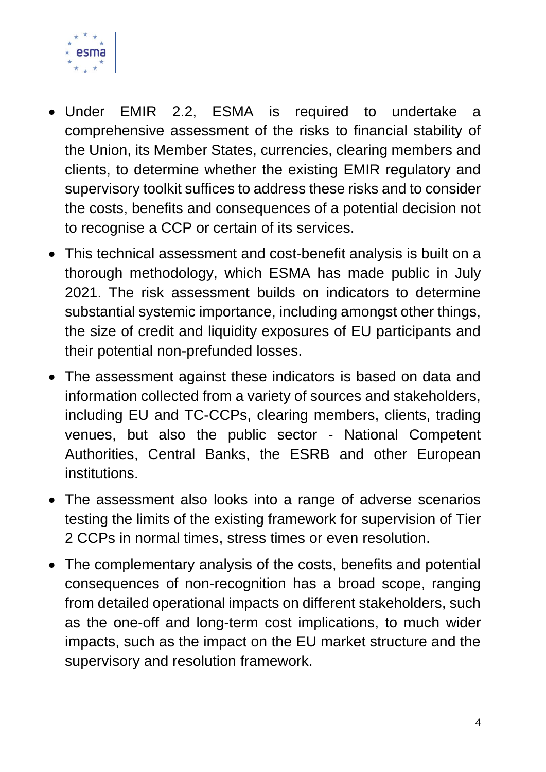

- Under EMIR 2.2, ESMA is required to undertake a comprehensive assessment of the risks to financial stability of the Union, its Member States, currencies, clearing members and clients, to determine whether the existing EMIR regulatory and supervisory toolkit suffices to address these risks and to consider the costs, benefits and consequences of a potential decision not to recognise a CCP or certain of its services.
- This technical assessment and cost-benefit analysis is built on a thorough methodology, which ESMA has made public in July 2021. The risk assessment builds on indicators to determine substantial systemic importance, including amongst other things, the size of credit and liquidity exposures of EU participants and their potential non-prefunded losses.
- The assessment against these indicators is based on data and information collected from a variety of sources and stakeholders, including EU and TC-CCPs, clearing members, clients, trading venues, but also the public sector - National Competent Authorities, Central Banks, the ESRB and other European institutions.
- The assessment also looks into a range of adverse scenarios testing the limits of the existing framework for supervision of Tier 2 CCPs in normal times, stress times or even resolution.
- The complementary analysis of the costs, benefits and potential consequences of non-recognition has a broad scope, ranging from detailed operational impacts on different stakeholders, such as the one-off and long-term cost implications, to much wider impacts, such as the impact on the EU market structure and the supervisory and resolution framework.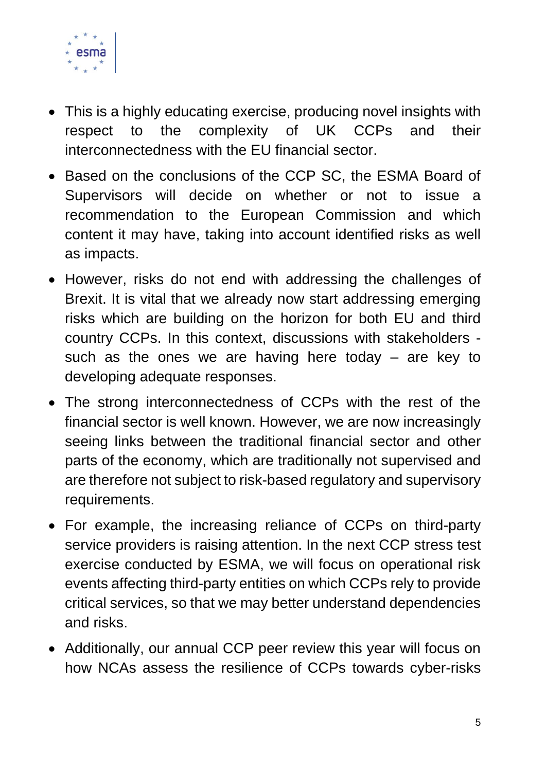

- This is a highly educating exercise, producing novel insights with respect to the complexity of UK CCPs and their interconnectedness with the EU financial sector.
- Based on the conclusions of the CCP SC, the ESMA Board of Supervisors will decide on whether or not to issue a recommendation to the European Commission and which content it may have, taking into account identified risks as well as impacts.
- However, risks do not end with addressing the challenges of Brexit. It is vital that we already now start addressing emerging risks which are building on the horizon for both EU and third country CCPs. In this context, discussions with stakeholders such as the ones we are having here today – are key to developing adequate responses.
- The strong interconnectedness of CCPs with the rest of the financial sector is well known. However, we are now increasingly seeing links between the traditional financial sector and other parts of the economy, which are traditionally not supervised and are therefore not subject to risk-based regulatory and supervisory requirements.
- For example, the increasing reliance of CCPs on third-party service providers is raising attention. In the next CCP stress test exercise conducted by ESMA, we will focus on operational risk events affecting third-party entities on which CCPs rely to provide critical services, so that we may better understand dependencies and risks.
- Additionally, our annual CCP peer review this year will focus on how NCAs assess the resilience of CCPs towards cyber-risks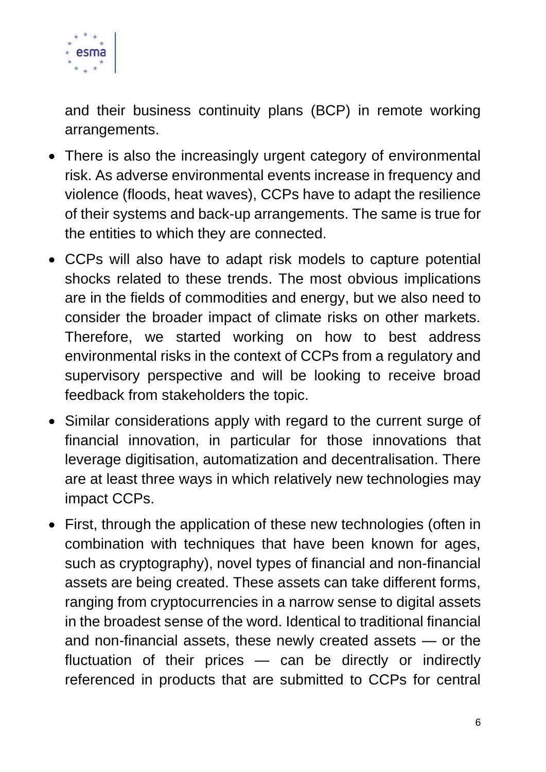

and their business continuity plans (BCP) in remote working arrangements.

- There is also the increasingly urgent category of environmental risk. As adverse environmental events increase in frequency and violence (floods, heat waves), CCPs have to adapt the resilience of their systems and back-up arrangements. The same is true for the entities to which they are connected.
- CCPs will also have to adapt risk models to capture potential shocks related to these trends. The most obvious implications are in the fields of commodities and energy, but we also need to consider the broader impact of climate risks on other markets. Therefore, we started working on how to best address environmental risks in the context of CCPs from a regulatory and supervisory perspective and will be looking to receive broad feedback from stakeholders the topic.
- Similar considerations apply with regard to the current surge of financial innovation, in particular for those innovations that leverage digitisation, automatization and decentralisation. There are at least three ways in which relatively new technologies may impact CCPs.
- First, through the application of these new technologies (often in combination with techniques that have been known for ages, such as cryptography), novel types of financial and non-financial assets are being created. These assets can take different forms, ranging from cryptocurrencies in a narrow sense to digital assets in the broadest sense of the word. Identical to traditional financial and non-financial assets, these newly created assets — or the fluctuation of their prices — can be directly or indirectly referenced in products that are submitted to CCPs for central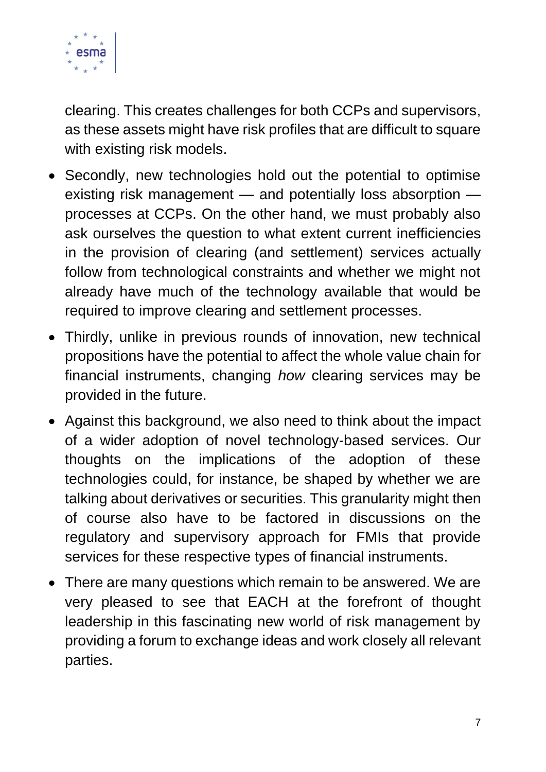

clearing. This creates challenges for both CCPs and supervisors, as these assets might have risk profiles that are difficult to square with existing risk models.

- Secondly, new technologies hold out the potential to optimise existing risk management — and potentially loss absorption processes at CCPs. On the other hand, we must probably also ask ourselves the question to what extent current inefficiencies in the provision of clearing (and settlement) services actually follow from technological constraints and whether we might not already have much of the technology available that would be required to improve clearing and settlement processes.
- Thirdly, unlike in previous rounds of innovation, new technical propositions have the potential to affect the whole value chain for financial instruments, changing *how* clearing services may be provided in the future.
- Against this background, we also need to think about the impact of a wider adoption of novel technology-based services. Our thoughts on the implications of the adoption of these technologies could, for instance, be shaped by whether we are talking about derivatives or securities. This granularity might then of course also have to be factored in discussions on the regulatory and supervisory approach for FMIs that provide services for these respective types of financial instruments.
- There are many questions which remain to be answered. We are very pleased to see that EACH at the forefront of thought leadership in this fascinating new world of risk management by providing a forum to exchange ideas and work closely all relevant parties.